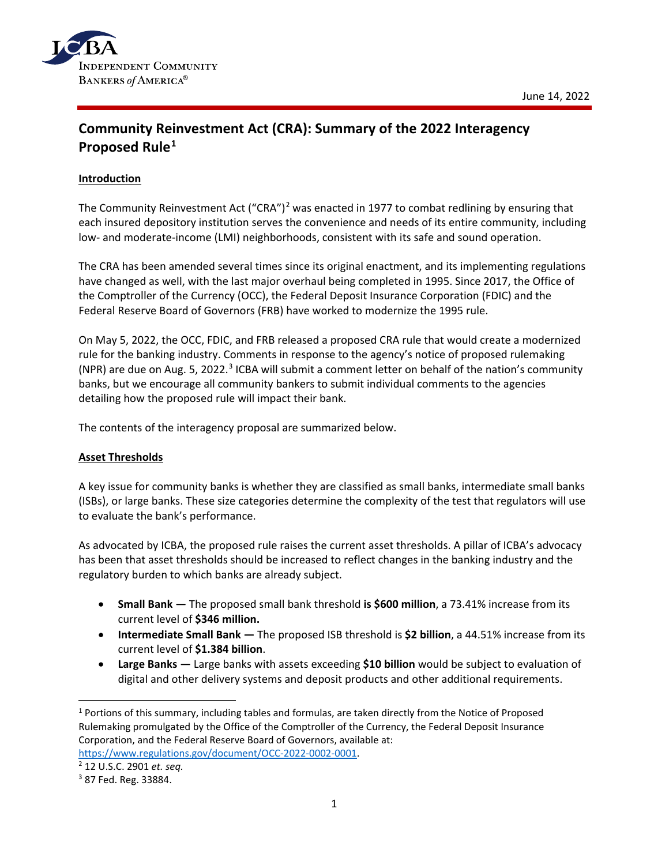

# **Community Reinvestment Act (CRA): Summary of the 2022 Interagency Proposed Rule[1](#page-0-0)**

# **Introduction**

The Community Reinvestment Act ("CRA")<sup>[2](#page-0-1)</sup> was enacted in 1977 to combat redlining by ensuring that each insured depository institution serves the convenience and needs of its entire community, including low- and moderate-income (LMI) neighborhoods, consistent with its safe and sound operation.

The CRA has been amended several times since its original enactment, and its implementing regulations have changed as well, with the last major overhaul being completed in 1995. Since 2017, the Office of the Comptroller of the Currency (OCC), the Federal Deposit Insurance Corporation (FDIC) and the Federal Reserve Board of Governors (FRB) have worked to modernize the 1995 rule.

On May 5, 2022, the OCC, FDIC, and FRB released a proposed CRA rule that would create a modernized rule for the banking industry. Comments in response to the agency's notice of proposed rulemaking (NPR) are due on Aug. 5, 2022.<sup>[3](#page-0-2)</sup> ICBA will submit a comment letter on behalf of the nation's community banks, but we encourage all community bankers to submit individual comments to the agencies detailing how the proposed rule will impact their bank.

The contents of the interagency proposal are summarized below.

### **Asset Thresholds**

A key issue for community banks is whether they are classified as small banks, intermediate small banks (ISBs), or large banks. These size categories determine the complexity of the test that regulators will use to evaluate the bank's performance.

As advocated by ICBA, the proposed rule raises the current asset thresholds. A pillar of ICBA's advocacy has been that asset thresholds should be increased to reflect changes in the banking industry and the regulatory burden to which banks are already subject.

- **Small Bank —** The proposed small bank threshold **is \$600 million**, a 73.41% increase from its current level of **\$346 million.**
- **Intermediate Small Bank —** The proposed ISB threshold is **\$2 billion**, a 44.51% increase from its current level of **\$1.384 billion**.
- **Large Banks —** Large banks with assets exceeding **\$10 billion** would be subject to evaluation of digital and other delivery systems and deposit products and other additional requirements.

<span id="page-0-0"></span><sup>&</sup>lt;sup>1</sup> Portions of this summary, including tables and formulas, are taken directly from the Notice of Proposed Rulemaking promulgated by the Office of the Comptroller of the Currency, the Federal Deposit Insurance Corporation, and the Federal Reserve Board of Governors, available at: [https://www.regulations.gov/document/OCC-2022-0002-0001.](https://www.regulations.gov/document/OCC-2022-0002-0001)<br><sup>2</sup> 12 U.S.C. 2901 *et. seq.*<br><sup>3</sup> 87 Fed. Reg. 33884.

<span id="page-0-1"></span>

<span id="page-0-2"></span>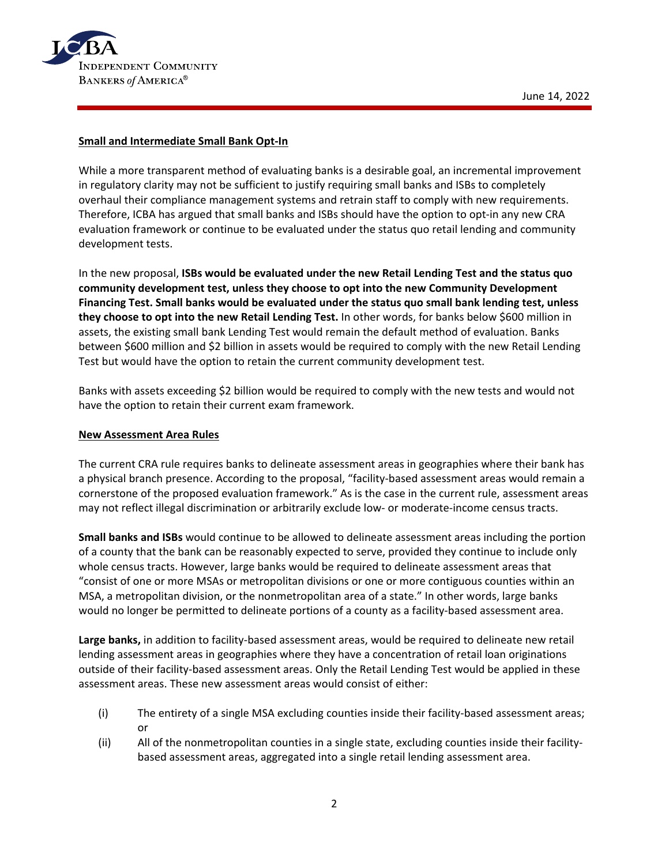

## **Small and Intermediate Small Bank Opt-In**

While a more transparent method of evaluating banks is a desirable goal, an incremental improvement in regulatory clarity may not be sufficient to justify requiring small banks and ISBs to completely overhaul their compliance management systems and retrain staff to comply with new requirements. Therefore, ICBA has argued that small banks and ISBs should have the option to opt-in any new CRA evaluation framework or continue to be evaluated under the status quo retail lending and community development tests.

In the new proposal, **ISBs would be evaluated under the new Retail Lending Test and the status quo community development test, unless they choose to opt into the new Community Development Financing Test. Small banks would be evaluated under the status quo small bank lending test, unless they choose to opt into the new Retail Lending Test.** In other words, for banks below \$600 million in assets, the existing small bank Lending Test would remain the default method of evaluation. Banks between \$600 million and \$2 billion in assets would be required to comply with the new Retail Lending Test but would have the option to retain the current community development test.

Banks with assets exceeding \$2 billion would be required to comply with the new tests and would not have the option to retain their current exam framework.

### **New Assessment Area Rules**

The current CRA rule requires banks to delineate assessment areas in geographies where their bank has a physical branch presence. According to the proposal, "facility-based assessment areas would remain a cornerstone of the proposed evaluation framework." As is the case in the current rule, assessment areas may not reflect illegal discrimination or arbitrarily exclude low- or moderate-income census tracts.

**Small banks and ISBs** would continue to be allowed to delineate assessment areas including the portion of a county that the bank can be reasonably expected to serve, provided they continue to include only whole census tracts. However, large banks would be required to delineate assessment areas that "consist of one or more MSAs or metropolitan divisions or one or more contiguous counties within an MSA, a metropolitan division, or the nonmetropolitan area of a state." In other words, large banks would no longer be permitted to delineate portions of a county as a facility-based assessment area.

**Large banks,** in addition to facility-based assessment areas, would be required to delineate new retail lending assessment areas in geographies where they have a concentration of retail loan originations outside of their facility-based assessment areas. Only the Retail Lending Test would be applied in these assessment areas. These new assessment areas would consist of either:

- (i) The entirety of a single MSA excluding counties inside their facility-based assessment areas; or
- (ii) All of the nonmetropolitan counties in a single state, excluding counties inside their facilitybased assessment areas, aggregated into a single retail lending assessment area.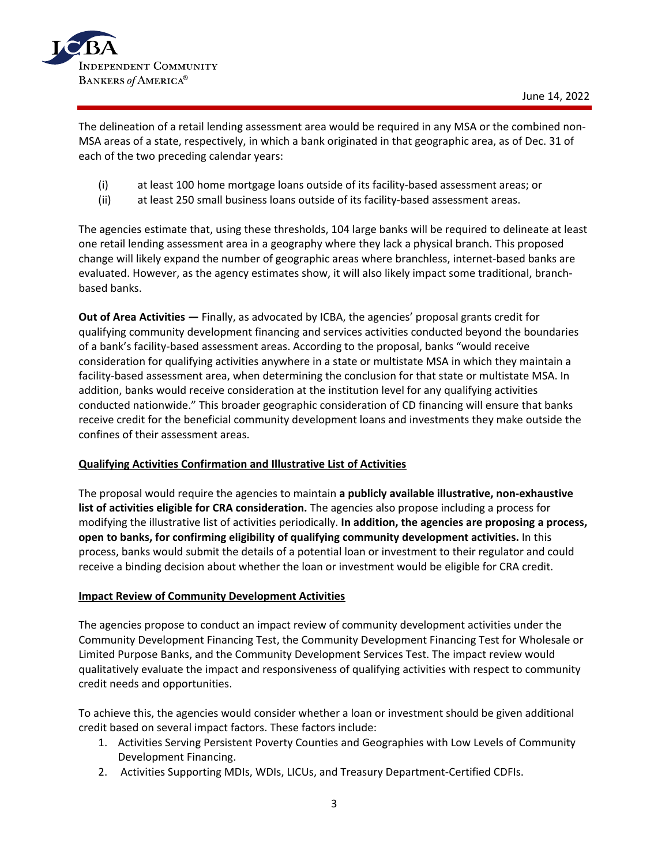

The delineation of a retail lending assessment area would be required in any MSA or the combined non-MSA areas of a state, respectively, in which a bank originated in that geographic area, as of Dec. 31 of each of the two preceding calendar years:

- (i) at least 100 home mortgage loans outside of its facility-based assessment areas; or
- (ii) at least 250 small business loans outside of its facility-based assessment areas.

The agencies estimate that, using these thresholds, 104 large banks will be required to delineate at least one retail lending assessment area in a geography where they lack a physical branch. This proposed change will likely expand the number of geographic areas where branchless, internet-based banks are evaluated. However, as the agency estimates show, it will also likely impact some traditional, branchbased banks.

**Out of Area Activities —** Finally, as advocated by ICBA, the agencies' proposal grants credit for qualifying community development financing and services activities conducted beyond the boundaries of a bank's facility-based assessment areas. According to the proposal, banks "would receive consideration for qualifying activities anywhere in a state or multistate MSA in which they maintain a facility-based assessment area, when determining the conclusion for that state or multistate MSA. In addition, banks would receive consideration at the institution level for any qualifying activities conducted nationwide." This broader geographic consideration of CD financing will ensure that banks receive credit for the beneficial community development loans and investments they make outside the confines of their assessment areas.

### **Qualifying Activities Confirmation and Illustrative List of Activities**

The proposal would require the agencies to maintain **a publicly available illustrative, non-exhaustive list of activities eligible for CRA consideration.** The agencies also propose including a process for modifying the illustrative list of activities periodically. **In addition, the agencies are proposing a process, open to banks, for confirming eligibility of qualifying community development activities.** In this process, banks would submit the details of a potential loan or investment to their regulator and could receive a binding decision about whether the loan or investment would be eligible for CRA credit.

### **Impact Review of Community Development Activities**

The agencies propose to conduct an impact review of community development activities under the Community Development Financing Test, the Community Development Financing Test for Wholesale or Limited Purpose Banks, and the Community Development Services Test. The impact review would qualitatively evaluate the impact and responsiveness of qualifying activities with respect to community credit needs and opportunities.

To achieve this, the agencies would consider whether a loan or investment should be given additional credit based on several impact factors. These factors include:

- 1. Activities Serving Persistent Poverty Counties and Geographies with Low Levels of Community Development Financing.
- 2. Activities Supporting MDIs, WDIs, LICUs, and Treasury Department-Certified CDFIs.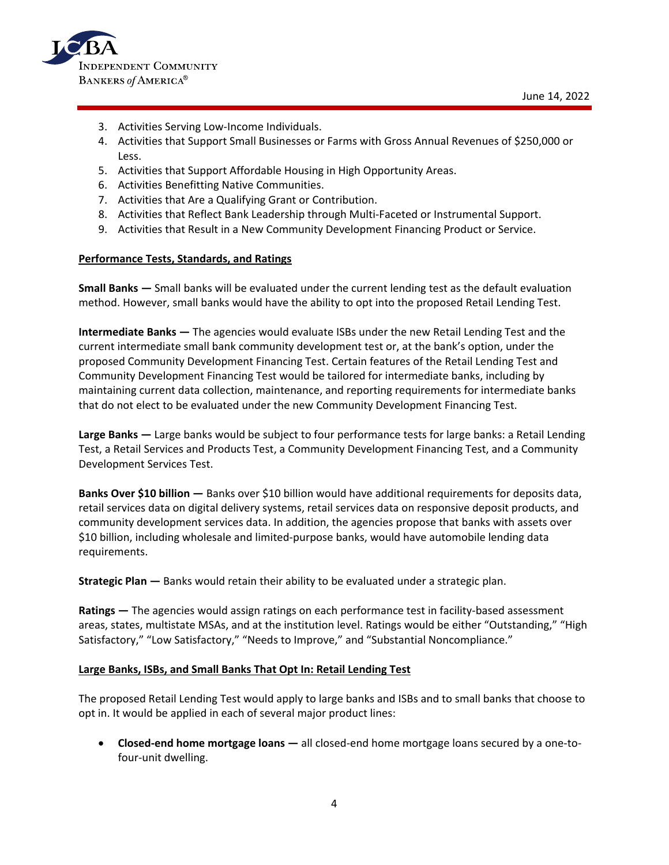

- 3. Activities Serving Low-Income Individuals.
- 4. Activities that Support Small Businesses or Farms with Gross Annual Revenues of \$250,000 or Less.
- 5. Activities that Support Affordable Housing in High Opportunity Areas.
- 6. Activities Benefitting Native Communities.
- 7. Activities that Are a Qualifying Grant or Contribution.
- 8. Activities that Reflect Bank Leadership through Multi-Faceted or Instrumental Support.
- 9. Activities that Result in a New Community Development Financing Product or Service.

#### **Performance Tests, Standards, and Ratings**

**Small Banks —** Small banks will be evaluated under the current lending test as the default evaluation method. However, small banks would have the ability to opt into the proposed Retail Lending Test.

**Intermediate Banks —** The agencies would evaluate ISBs under the new Retail Lending Test and the current intermediate small bank community development test or, at the bank's option, under the proposed Community Development Financing Test. Certain features of the Retail Lending Test and Community Development Financing Test would be tailored for intermediate banks, including by maintaining current data collection, maintenance, and reporting requirements for intermediate banks that do not elect to be evaluated under the new Community Development Financing Test.

**Large Banks —** Large banks would be subject to four performance tests for large banks: a Retail Lending Test, a Retail Services and Products Test, a Community Development Financing Test, and a Community Development Services Test.

**Banks Over \$10 billion —** Banks over \$10 billion would have additional requirements for deposits data, retail services data on digital delivery systems, retail services data on responsive deposit products, and community development services data. In addition, the agencies propose that banks with assets over \$10 billion, including wholesale and limited-purpose banks, would have automobile lending data requirements.

**Strategic Plan —** Banks would retain their ability to be evaluated under a strategic plan.

**Ratings —** The agencies would assign ratings on each performance test in facility-based assessment areas, states, multistate MSAs, and at the institution level. Ratings would be either "Outstanding," "High Satisfactory," "Low Satisfactory," "Needs to Improve," and "Substantial Noncompliance."

#### **Large Banks, ISBs, and Small Banks That Opt In: Retail Lending Test**

The proposed Retail Lending Test would apply to large banks and ISBs and to small banks that choose to opt in. It would be applied in each of several major product lines:

• **Closed-end home mortgage loans —** all closed-end home mortgage loans secured by a one-tofour-unit dwelling.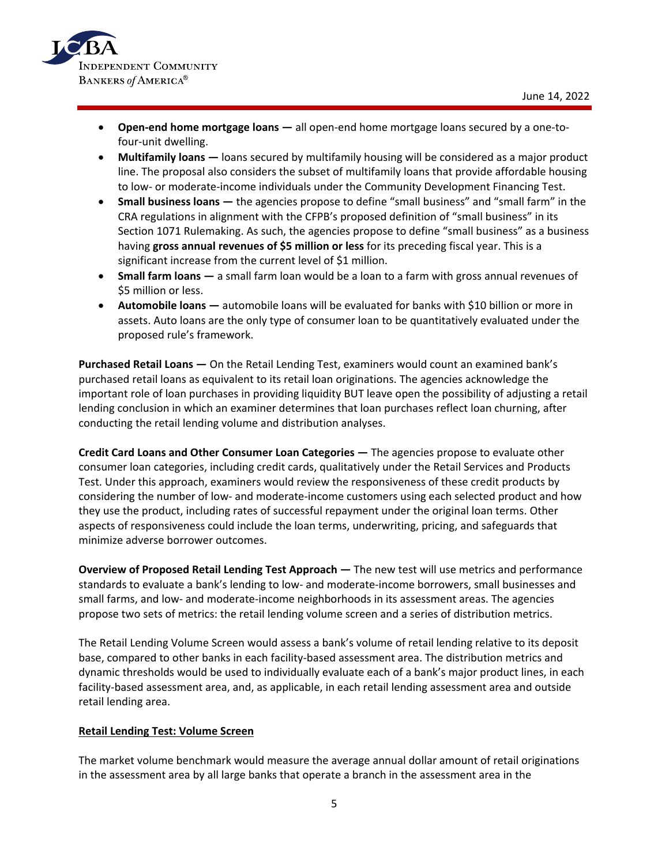

- **Open-end home mortgage loans** all open-end home mortgage loans secured by a one-tofour-unit dwelling.
- **Multifamily loans** loans secured by multifamily housing will be considered as a major product line. The proposal also considers the subset of multifamily loans that provide affordable housing to low- or moderate-income individuals under the Community Development Financing Test.
- **Small business loans** the agencies propose to define "small business" and "small farm" in the CRA regulations in alignment with the CFPB's proposed definition of "small business" in its Section 1071 Rulemaking. As such, the agencies propose to define "small business" as a business having **gross annual revenues of \$5 million or less** for its preceding fiscal year. This is a significant increase from the current level of \$1 million.
- **Small farm loans** a small farm loan would be a loan to a farm with gross annual revenues of \$5 million or less.
- **Automobile loans** automobile loans will be evaluated for banks with \$10 billion or more in assets. Auto loans are the only type of consumer loan to be quantitatively evaluated under the proposed rule's framework.

**Purchased Retail Loans —** On the Retail Lending Test, examiners would count an examined bank's purchased retail loans as equivalent to its retail loan originations. The agencies acknowledge the important role of loan purchases in providing liquidity BUT leave open the possibility of adjusting a retail lending conclusion in which an examiner determines that loan purchases reflect loan churning, after conducting the retail lending volume and distribution analyses.

**Credit Card Loans and Other Consumer Loan Categories —** The agencies propose to evaluate other consumer loan categories, including credit cards, qualitatively under the Retail Services and Products Test. Under this approach, examiners would review the responsiveness of these credit products by considering the number of low- and moderate-income customers using each selected product and how they use the product, including rates of successful repayment under the original loan terms. Other aspects of responsiveness could include the loan terms, underwriting, pricing, and safeguards that minimize adverse borrower outcomes.

**Overview of Proposed Retail Lending Test Approach —** The new test will use metrics and performance standards to evaluate a bank's lending to low- and moderate-income borrowers, small businesses and small farms, and low- and moderate-income neighborhoods in its assessment areas. The agencies propose two sets of metrics: the retail lending volume screen and a series of distribution metrics.

The Retail Lending Volume Screen would assess a bank's volume of retail lending relative to its deposit base, compared to other banks in each facility-based assessment area. The distribution metrics and dynamic thresholds would be used to individually evaluate each of a bank's major product lines, in each facility-based assessment area, and, as applicable, in each retail lending assessment area and outside retail lending area.

### **Retail Lending Test: Volume Screen**

The market volume benchmark would measure the average annual dollar amount of retail originations in the assessment area by all large banks that operate a branch in the assessment area in the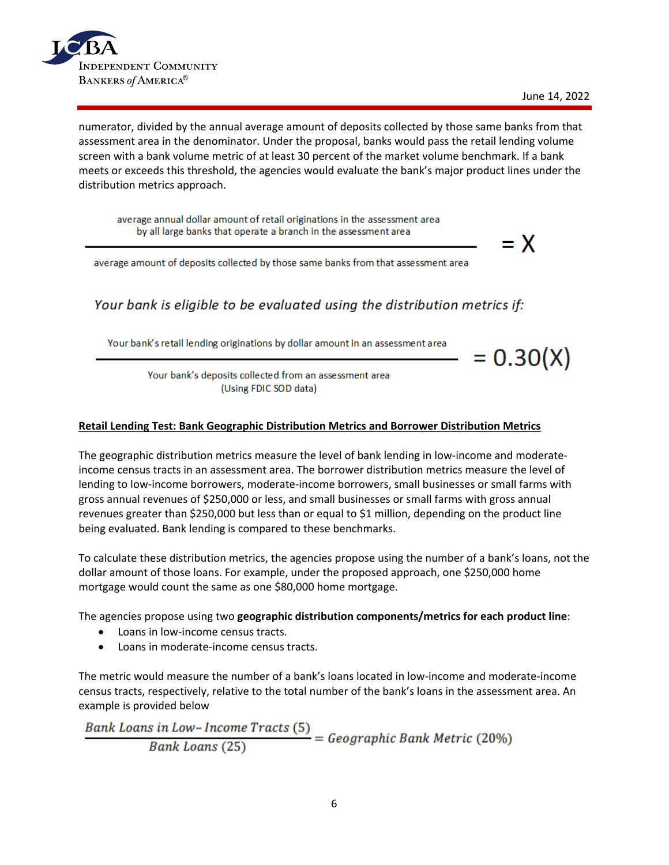

numerator, divided by the annual average amount of deposits collected by those same banks from that assessment area in the denominator. Under the proposal, banks would pass the retail lending volume screen with a bank volume metric of at least 30 percent of the market volume benchmark. If a bank meets or exceeds this threshold, the agencies would evaluate the bank's major product lines under the distribution metrics approach.

average annual dollar amount of retail originations in the assessment area by all large banks that operate a branch in the assessment area

average amount of deposits collected by those same banks from that assessment area

Your bank is eligible to be evaluated using the distribution metrics if:

Your bank's retail lending originations by dollar amount in an assessment area

 $= 0.30(X)$ 

 $= X$ 

Your bank's deposits collected from an assessment area (Using FDIC SOD data)

### **Retail Lending Test: Bank Geographic Distribution Metrics and Borrower Distribution Metrics**

The geographic distribution metrics measure the level of bank lending in low-income and moderateincome census tracts in an assessment area. The borrower distribution metrics measure the level of lending to low-income borrowers, moderate-income borrowers, small businesses or small farms with gross annual revenues of \$250,000 or less, and small businesses or small farms with gross annual revenues greater than \$250,000 but less than or equal to \$1 million, depending on the product line being evaluated. Bank lending is compared to these benchmarks.

To calculate these distribution metrics, the agencies propose using the number of a bank's loans, not the dollar amount of those loans. For example, under the proposed approach, one \$250,000 home mortgage would count the same as one \$80,000 home mortgage.

The agencies propose using two **geographic distribution components/metrics for each product line**:

- Loans in low-income census tracts.
- Loans in moderate-income census tracts.

The metric would measure the number of a bank's loans located in low-income and moderate-income census tracts, respectively, relative to the total number of the bank's loans in the assessment area. An

example is provided below<br>Bank Loans in Low-Income Tracts (5)<br> $= Geographic Bank Metric (20%)$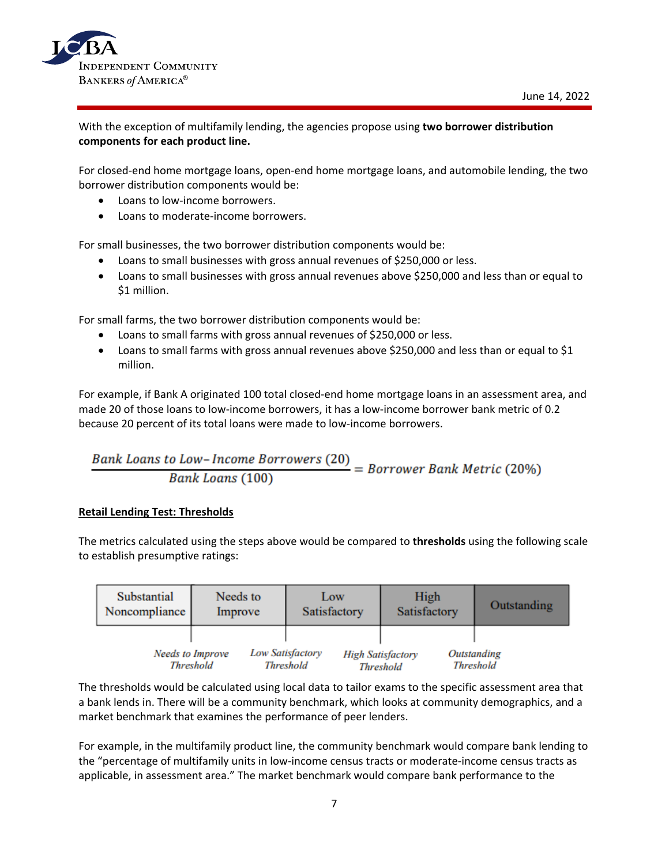

# With the exception of multifamily lending, the agencies propose using **two borrower distribution components for each product line.**

For closed-end home mortgage loans, open-end home mortgage loans, and automobile lending, the two borrower distribution components would be:

- Loans to low-income borrowers.
- Loans to moderate-income borrowers.

For small businesses, the two borrower distribution components would be:

- Loans to small businesses with gross annual revenues of \$250,000 or less.
- Loans to small businesses with gross annual revenues above \$250,000 and less than or equal to \$1 million.

For small farms, the two borrower distribution components would be:

- Loans to small farms with gross annual revenues of \$250,000 or less.
- Loans to small farms with gross annual revenues above \$250,000 and less than or equal to \$1 million.

For example, if Bank A originated 100 total closed-end home mortgage loans in an assessment area, and made 20 of those loans to low-income borrowers, it has a low-income borrower bank metric of 0.2 because 20 percent of its total loans were made to low-income borrowers.

### **Retail Lending Test: Thresholds**

The metrics calculated using the steps above would be compared to **thresholds** using the following scale to establish presumptive ratings:

| Substantial   | Needs to                | Low                     | High                     | Outstanding        |
|---------------|-------------------------|-------------------------|--------------------------|--------------------|
| Noncompliance | Improve                 | Satisfactory            | Satisfactory             |                    |
|               | <b>Needs to Improve</b> | <b>Low Satisfactory</b> | <b>High Satisfactory</b> | <b>Outstanding</b> |
|               | <b>Threshold</b>        | <b>Threshold</b>        | <b>Threshold</b>         | <b>Threshold</b>   |

The thresholds would be calculated using local data to tailor exams to the specific assessment area that a bank lends in. There will be a community benchmark, which looks at community demographics, and a market benchmark that examines the performance of peer lenders.

For example, in the multifamily product line, the community benchmark would compare bank lending to the "percentage of multifamily units in low-income census tracts or moderate-income census tracts as applicable, in assessment area." The market benchmark would compare bank performance to the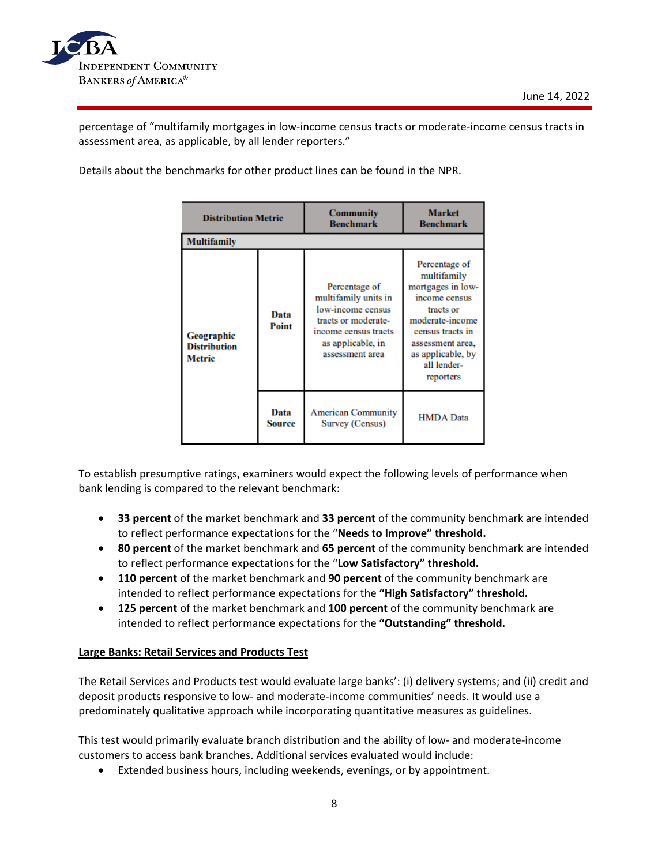percentage of "multifamily mortgages in low-income census tracts or moderate-income census tracts in assessment area, as applicable, by all lender reporters."

Details about the benchmarks for other product lines can be found in the NPR.

| <b>Distribution Metric</b>                  |                | <b>Community</b><br><b>Benchmark</b>                                                                                                              | <b>Market</b><br><b>Benchmark</b>                                                                                                                                                           |  |  |
|---------------------------------------------|----------------|---------------------------------------------------------------------------------------------------------------------------------------------------|---------------------------------------------------------------------------------------------------------------------------------------------------------------------------------------------|--|--|
| <b>Multifamily</b>                          |                |                                                                                                                                                   |                                                                                                                                                                                             |  |  |
| Geographic<br><b>Distribution</b><br>Metric | Data<br>Point  | Percentage of<br>multifamily units in<br>low-income census<br>tracts or moderate-<br>income census tracts<br>as applicable, in<br>assessment area | Percentage of<br>multifamily<br>mortgages in low-<br>income census<br>tracts or<br>moderate-income<br>census tracts in<br>assessment area,<br>as applicable, by<br>all lender-<br>reporters |  |  |
|                                             | Data<br>Source | <b>American Community</b><br>Survey (Census)                                                                                                      | <b>HMDA</b> Data                                                                                                                                                                            |  |  |

To establish presumptive ratings, examiners would expect the following levels of performance when bank lending is compared to the relevant benchmark:

- **33 percent** of the market benchmark and **33 percent** of the community benchmark are intended to reflect performance expectations for the "**Needs to Improve" threshold.**
- **80 percent** of the market benchmark and **65 percent** of the community benchmark are intended to reflect performance expectations for the "**Low Satisfactory" threshold.**
- **110 percent** of the market benchmark and **90 percent** of the community benchmark are intended to reflect performance expectations for the **"High Satisfactory" threshold.**
- **125 percent** of the market benchmark and **100 percent** of the community benchmark are intended to reflect performance expectations for the **"Outstanding" threshold.**

# **Large Banks: Retail Services and Products Test**

The Retail Services and Products test would evaluate large banks': (i) delivery systems; and (ii) credit and deposit products responsive to low- and moderate-income communities' needs. It would use a predominately qualitative approach while incorporating quantitative measures as guidelines.

This test would primarily evaluate branch distribution and the ability of low- and moderate-income customers to access bank branches. Additional services evaluated would include:

• Extended business hours, including weekends, evenings, or by appointment.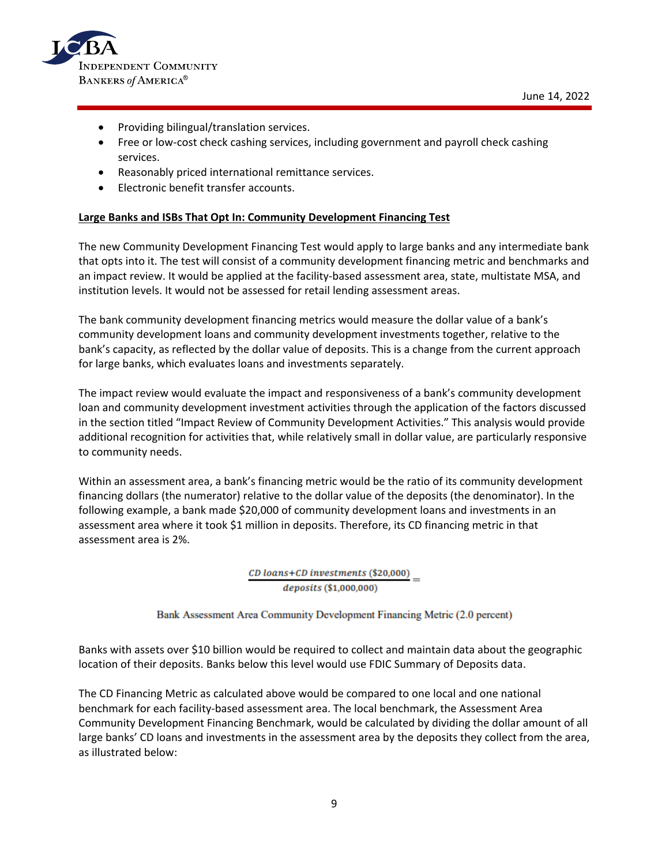

- Providing bilingual/translation services.
- Free or low-cost check cashing services, including government and payroll check cashing services.
- Reasonably priced international remittance services.
- Electronic benefit transfer accounts.

### **Large Banks and ISBs That Opt In: Community Development Financing Test**

The new Community Development Financing Test would apply to large banks and any intermediate bank that opts into it. The test will consist of a community development financing metric and benchmarks and an impact review. It would be applied at the facility-based assessment area, state, multistate MSA, and institution levels. It would not be assessed for retail lending assessment areas.

The bank community development financing metrics would measure the dollar value of a bank's community development loans and community development investments together, relative to the bank's capacity, as reflected by the dollar value of deposits. This is a change from the current approach for large banks, which evaluates loans and investments separately.

The impact review would evaluate the impact and responsiveness of a bank's community development loan and community development investment activities through the application of the factors discussed in the section titled "Impact Review of Community Development Activities." This analysis would provide additional recognition for activities that, while relatively small in dollar value, are particularly responsive to community needs.

Within an assessment area, a bank's financing metric would be the ratio of its community development financing dollars (the numerator) relative to the dollar value of the deposits (the denominator). In the following example, a bank made \$20,000 of community development loans and investments in an assessment area where it took \$1 million in deposits. Therefore, its CD financing metric in that assessment area is 2%.

> CD loans+CD investments (\$20,000) deposits (\$1,000,000)

Bank Assessment Area Community Development Financing Metric (2.0 percent)

Banks with assets over \$10 billion would be required to collect and maintain data about the geographic location of their deposits. Banks below this level would use FDIC Summary of Deposits data.

The CD Financing Metric as calculated above would be compared to one local and one national benchmark for each facility-based assessment area. The local benchmark, the Assessment Area Community Development Financing Benchmark, would be calculated by dividing the dollar amount of all large banks' CD loans and investments in the assessment area by the deposits they collect from the area, as illustrated below: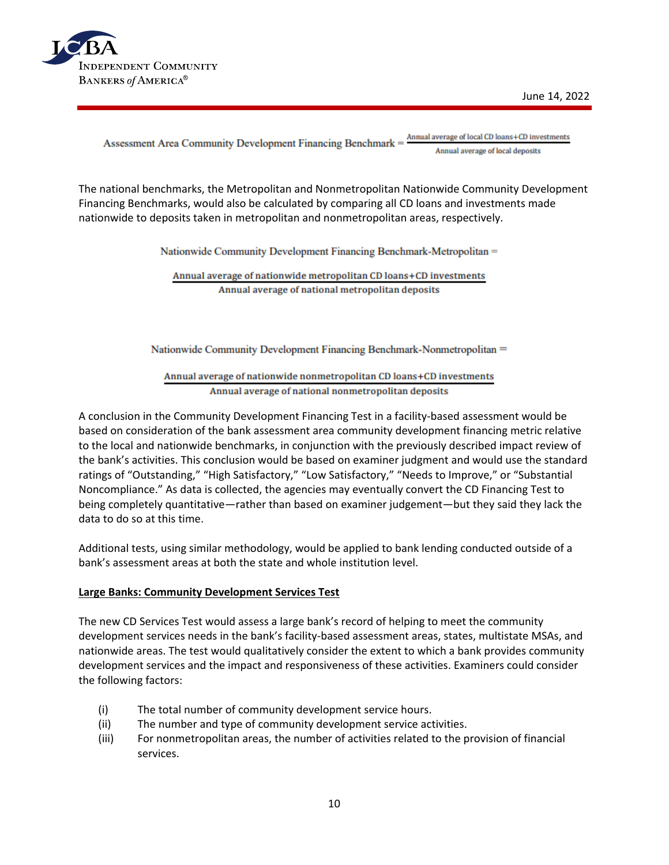

Annual average of local CD loans+CD investments Assessment Area Community Development Financing Benchmark = Annual average of local deposits

The national benchmarks, the Metropolitan and Nonmetropolitan Nationwide Community Development Financing Benchmarks, would also be calculated by comparing all CD loans and investments made nationwide to deposits taken in metropolitan and nonmetropolitan areas, respectively.

Nationwide Community Development Financing Benchmark-Metropolitan =

Annual average of nationwide metropolitan CD loans+CD investments Annual average of national metropolitan deposits

Nationwide Community Development Financing Benchmark-Nonmetropolitan =

Annual average of nationwide nonmetropolitan CD loans+CD investments Annual average of national nonmetropolitan deposits

A conclusion in the Community Development Financing Test in a facility-based assessment would be based on consideration of the bank assessment area community development financing metric relative to the local and nationwide benchmarks, in conjunction with the previously described impact review of the bank's activities. This conclusion would be based on examiner judgment and would use the standard ratings of "Outstanding," "High Satisfactory," "Low Satisfactory," "Needs to Improve," or "Substantial Noncompliance." As data is collected, the agencies may eventually convert the CD Financing Test to being completely quantitative—rather than based on examiner judgement—but they said they lack the data to do so at this time.

Additional tests, using similar methodology, would be applied to bank lending conducted outside of a bank's assessment areas at both the state and whole institution level.

### **Large Banks: Community Development Services Test**

The new CD Services Test would assess a large bank's record of helping to meet the community development services needs in the bank's facility-based assessment areas, states, multistate MSAs, and nationwide areas. The test would qualitatively consider the extent to which a bank provides community development services and the impact and responsiveness of these activities. Examiners could consider the following factors:

- (i) The total number of community development service hours.
- (ii) The number and type of community development service activities.
- (iii) For nonmetropolitan areas, the number of activities related to the provision of financial services.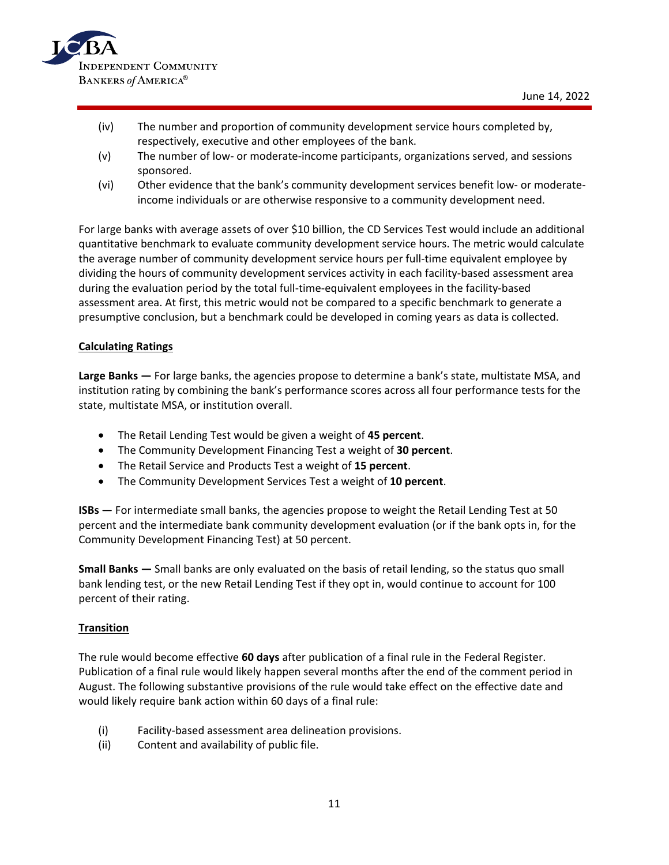

- (iv) The number and proportion of community development service hours completed by, respectively, executive and other employees of the bank.
- (v) The number of low- or moderate-income participants, organizations served, and sessions sponsored.
- (vi) Other evidence that the bank's community development services benefit low- or moderateincome individuals or are otherwise responsive to a community development need.

For large banks with average assets of over \$10 billion, the CD Services Test would include an additional quantitative benchmark to evaluate community development service hours. The metric would calculate the average number of community development service hours per full-time equivalent employee by dividing the hours of community development services activity in each facility-based assessment area during the evaluation period by the total full-time-equivalent employees in the facility-based assessment area. At first, this metric would not be compared to a specific benchmark to generate a presumptive conclusion, but a benchmark could be developed in coming years as data is collected.

### **Calculating Ratings**

**Large Banks —** For large banks, the agencies propose to determine a bank's state, multistate MSA, and institution rating by combining the bank's performance scores across all four performance tests for the state, multistate MSA, or institution overall.

- The Retail Lending Test would be given a weight of **45 percent**.
- The Community Development Financing Test a weight of **30 percent**.
- The Retail Service and Products Test a weight of **15 percent**.
- The Community Development Services Test a weight of **10 percent**.

**ISBs —** For intermediate small banks, the agencies propose to weight the Retail Lending Test at 50 percent and the intermediate bank community development evaluation (or if the bank opts in, for the Community Development Financing Test) at 50 percent.

**Small Banks —** Small banks are only evaluated on the basis of retail lending, so the status quo small bank lending test, or the new Retail Lending Test if they opt in, would continue to account for 100 percent of their rating.

### **Transition**

The rule would become effective **60 days** after publication of a final rule in the Federal Register. Publication of a final rule would likely happen several months after the end of the comment period in August. The following substantive provisions of the rule would take effect on the effective date and would likely require bank action within 60 days of a final rule:

- (i) Facility-based assessment area delineation provisions.
- (ii) Content and availability of public file.